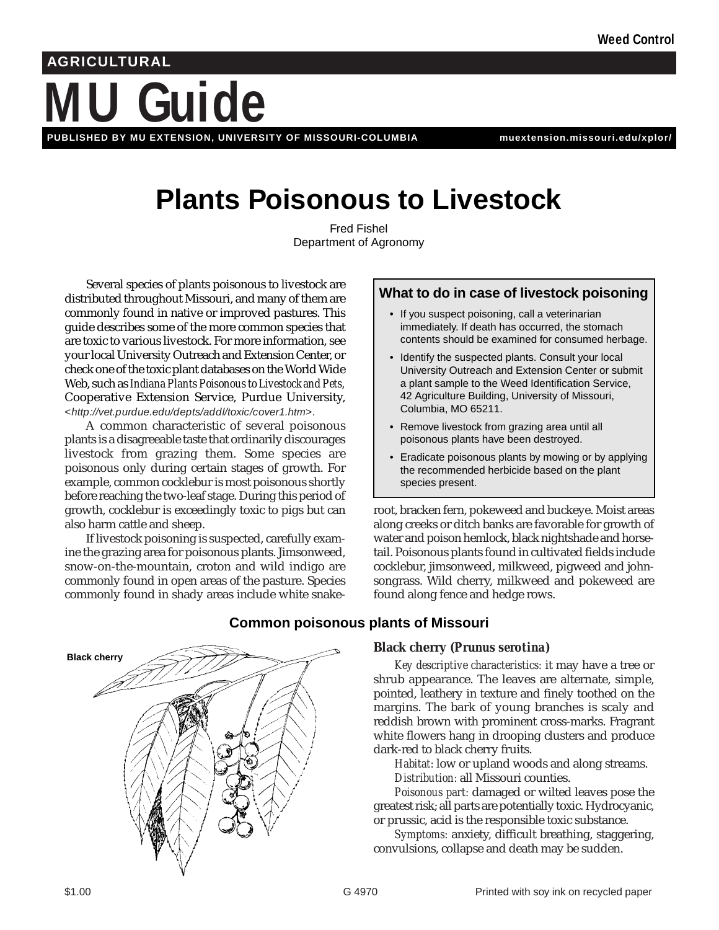# **MU Guide AGRICULTURAL PUBLISHED BY MU EXTENSION, UNIVERSITY OF MISSOURI-COLUMBIA muextension.missouri.edu/xplor/**

# **Plants Poisonous to Livestock**

Fred Fishel Department of Agronomy

Several species of plants poisonous to livestock are distributed throughout Missouri, and many of them are commonly found in native or improved pastures. This guide describes some of the more common species that are toxic to various livestock. For more information, see your local University Outreach and Extension Center, or check one of the toxic plant databases on the World Wide Web, such as *Indiana Plants Poisonous to Livestock and Pets,* Cooperative Extension Service, Purdue University, *<http://vet.purdue.edu/depts/addl/toxic/cover1.htm>.*

A common characteristic of several poisonous plants is a disagreeable taste that ordinarily discourages livestock from grazing them. Some species are poisonous only during certain stages of growth. For example, common cocklebur is most poisonous shortly before reaching the two-leaf stage. During this period of growth, cocklebur is exceedingly toxic to pigs but can also harm cattle and sheep.

If livestock poisoning is suspected, carefully examine the grazing area for poisonous plants. Jimsonweed, snow-on-the-mountain, croton and wild indigo are commonly found in open areas of the pasture. Species commonly found in shady areas include white snake-

## **What to do in case of livestock poisoning**

- If you suspect poisoning, call a veterinarian immediately. If death has occurred, the stomach contents should be examined for consumed herbage.
- Identify the suspected plants. Consult your local University Outreach and Extension Center or submit a plant sample to the Weed Identification Service, 42 Agriculture Building, University of Missouri, Columbia, MO 65211.
- Remove livestock from grazing area until all poisonous plants have been destroyed.
- Eradicate poisonous plants by mowing or by applying the recommended herbicide based on the plant species present.

root, bracken fern, pokeweed and buckeye. Moist areas along creeks or ditch banks are favorable for growth of water and poison hemlock, black nightshade and horsetail. Poisonous plants found in cultivated fields include cocklebur, jimsonweed, milkweed, pigweed and johnsongrass. Wild cherry, milkweed and pokeweed are found along fence and hedge rows.



## **Common poisonous plants of Missouri**

## **Black cherry** *(Prunus serotina)*

*Key descriptive characteristics:* it may have a tree or shrub appearance. The leaves are alternate, simple, pointed, leathery in texture and finely toothed on the margins. The bark of young branches is scaly and reddish brown with prominent cross-marks. Fragrant white flowers hang in drooping clusters and produce dark-red to black cherry fruits.

*Habitat:* low or upland woods and along streams. *Distribution:* all Missouri counties.

*Poisonous part:* damaged or wilted leaves pose the greatest risk; all parts are potentially toxic. Hydrocyanic, or prussic, acid is the responsible toxic substance.

*Symptoms:* anxiety, difficult breathing, staggering, convulsions, collapse and death may be sudden.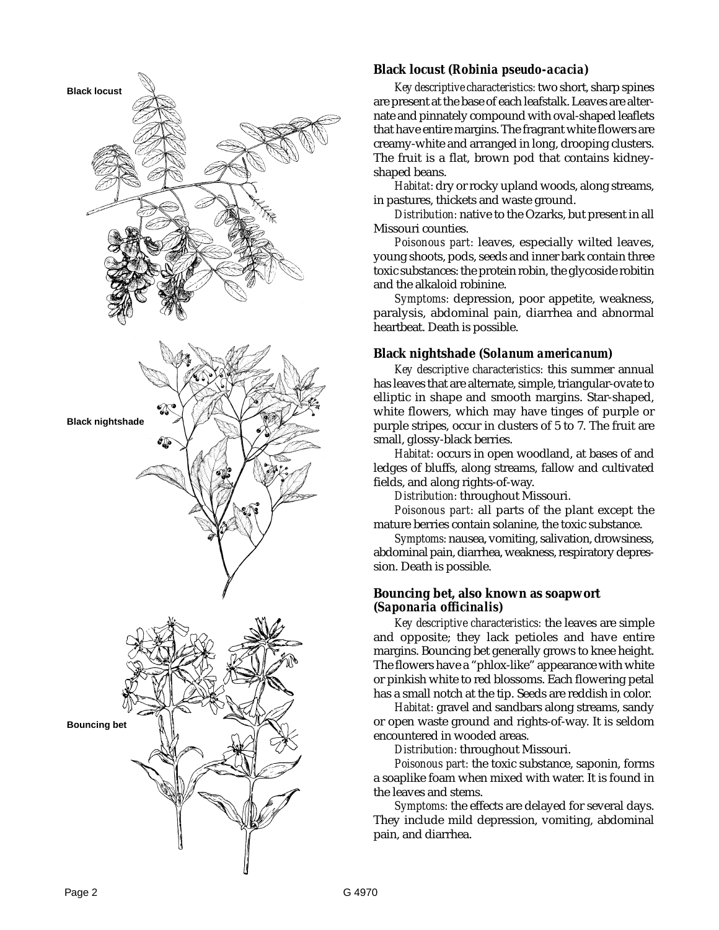

### **Black locust** *(Robinia pseudo-acacia)*

*Key descriptive characteristics:* two short, sharp spines are present at the base of each leafstalk. Leaves are alternate and pinnately compound with oval-shaped leaflets that have entire margins. The fragrant white flowers are creamy-white and arranged in long, drooping clusters. The fruit is a flat, brown pod that contains kidneyshaped beans.

*Habitat:* dry or rocky upland woods, along streams, in pastures, thickets and waste ground.

*Distribution:* native to the Ozarks, but present in all Missouri counties.

*Poisonous part:* leaves, especially wilted leaves, young shoots, pods, seeds and inner bark contain three toxic substances: the protein robin, the glycoside robitin and the alkaloid robinine.

*Symptoms:* depression, poor appetite, weakness, paralysis, abdominal pain, diarrhea and abnormal heartbeat. Death is possible.

#### **Black nightshade** *(Solanum americanum)*

*Key descriptive characteristics:* this summer annual has leaves that are alternate, simple, triangular-ovate to elliptic in shape and smooth margins. Star-shaped, white flowers, which may have tinges of purple or purple stripes, occur in clusters of 5 to 7. The fruit are small, glossy-black berries.

*Habitat:* occurs in open woodland, at bases of and ledges of bluffs, along streams, fallow and cultivated fields, and along rights-of-way.

*Distribution:* throughout Missouri.

*Poisonous part:* all parts of the plant except the mature berries contain solanine, the toxic substance.

*Symptoms:* nausea, vomiting, salivation, drowsiness, abdominal pain, diarrhea, weakness, respiratory depression. Death is possible.

#### **Bouncing bet, also known as soapwort**  *(Saponaria officinalis)*

*Key descriptive characteristics:* the leaves are simple and opposite; they lack petioles and have entire margins. Bouncing bet generally grows to knee height. The flowers have a "phlox-like" appearance with white or pinkish white to red blossoms. Each flowering petal has a small notch at the tip. Seeds are reddish in color.

*Habitat:* gravel and sandbars along streams, sandy or open waste ground and rights-of-way. It is seldom encountered in wooded areas.

*Distribution:* throughout Missouri.

*Poisonous part:* the toxic substance, saponin, forms a soaplike foam when mixed with water. It is found in the leaves and stems.

*Symptoms:* the effects are delayed for several days. They include mild depression, vomiting, abdominal pain, and diarrhea.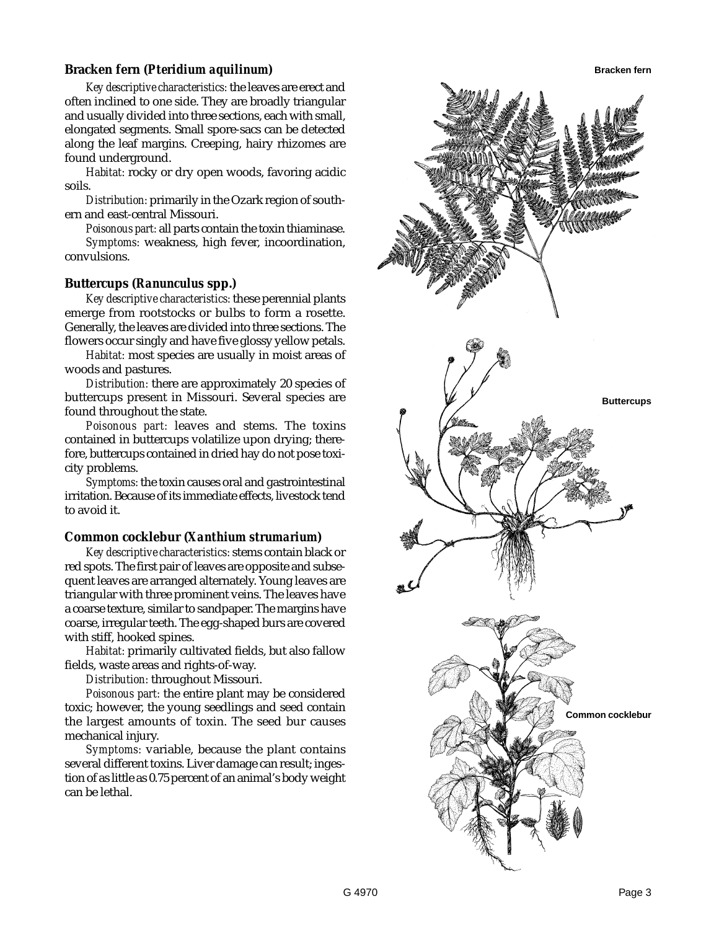#### **Bracken fern** *(Pteridium aquilinum)*

*Key descriptive characteristics:* the leaves are erect and often inclined to one side. They are broadly triangular and usually divided into three sections, each with small, elongated segments. Small spore-sacs can be detected along the leaf margins. Creeping, hairy rhizomes are found underground.

*Habitat:* rocky or dry open woods, favoring acidic soils.

*Distribution:* primarily in the Ozark region of southern and east-central Missouri.

*Poisonous part:* all parts contain the toxin thiaminase.

*Symptoms:* weakness, high fever, incoordination, convulsions.

#### **Buttercups** *(Ranunculus* **spp.***)*

*Key descriptive characteristics:* these perennial plants emerge from rootstocks or bulbs to form a rosette. Generally, the leaves are divided into three sections. The flowers occur singly and have five glossy yellow petals.

*Habitat:* most species are usually in moist areas of woods and pastures.

*Distribution:* there are approximately 20 species of buttercups present in Missouri. Several species are found throughout the state.

*Poisonous part:* leaves and stems. The toxins contained in buttercups volatilize upon drying; therefore, buttercups contained in dried hay do not pose toxicity problems.

*Symptoms:* the toxin causes oral and gastrointestinal irritation. Because of its immediate effects, livestock tend to avoid it.

#### **Common cocklebur** *(Xanthium strumarium)*

*Key descriptive characteristics:* stems contain black or red spots. The first pair of leaves are opposite and subsequent leaves are arranged alternately. Young leaves are triangular with three prominent veins. The leaves have a coarse texture, similar to sandpaper. The margins have coarse, irregular teeth. The egg-shaped burs are covered with stiff, hooked spines.

*Habitat:* primarily cultivated fields, but also fallow fields, waste areas and rights-of-way.

*Distribution:* throughout Missouri.

*Poisonous part:* the entire plant may be considered toxic; however, the young seedlings and seed contain the largest amounts of toxin. The seed bur causes mechanical injury.

*Symptoms:* variable, because the plant contains several different toxins. Liver damage can result; ingestion of as little as 0.75 percent of an animal's body weight can be lethal.

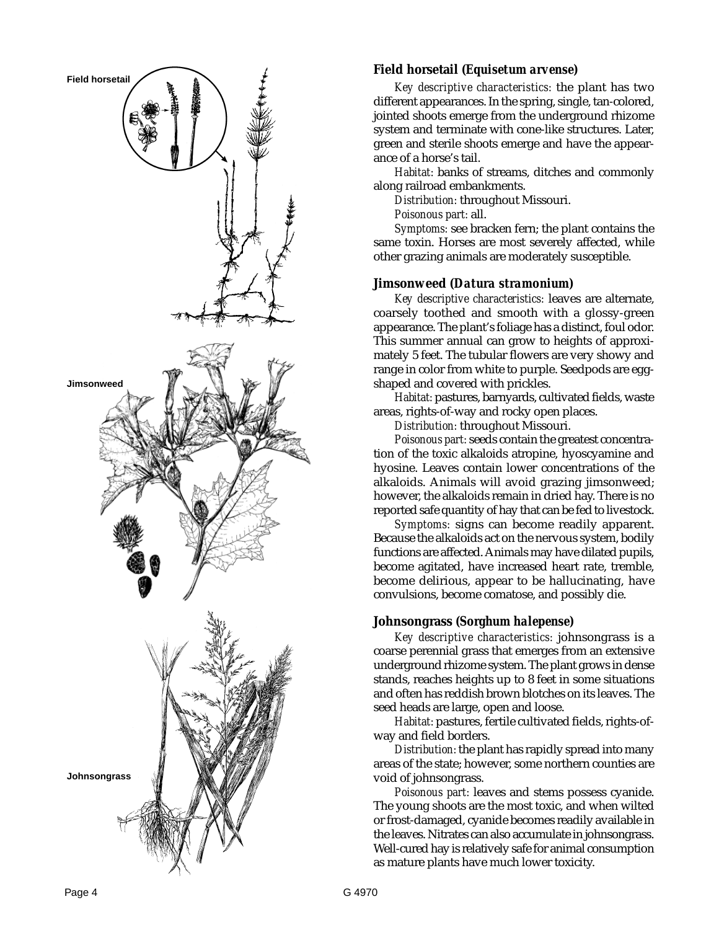

#### **Field horsetail** *(Equisetum arvense)*

*Key descriptive characteristics:* the plant has two different appearances. In the spring, single, tan-colored, jointed shoots emerge from the underground rhizome system and terminate with cone-like structures. Later, green and sterile shoots emerge and have the appearance of a horse's tail.

*Habitat:* banks of streams, ditches and commonly along railroad embankments.

*Distribution:* throughout Missouri.

*Poisonous part:* all.

*Symptoms:* see bracken fern; the plant contains the same toxin. Horses are most severely affected, while other grazing animals are moderately susceptible.

#### **Jimsonweed** *(Datura stramonium)*

*Key descriptive characteristics:* leaves are alternate, coarsely toothed and smooth with a glossy-green appearance. The plant's foliage has a distinct, foul odor. This summer annual can grow to heights of approximately 5 feet. The tubular flowers are very showy and range in color from white to purple. Seedpods are eggshaped and covered with prickles.

*Habitat:* pastures, barnyards, cultivated fields, waste areas, rights-of-way and rocky open places.

*Distribution:* throughout Missouri.

*Poisonous part:* seeds contain the greatest concentration of the toxic alkaloids atropine, hyoscyamine and hyosine. Leaves contain lower concentrations of the alkaloids. Animals will avoid grazing jimsonweed; however, the alkaloids remain in dried hay. There is no reported safe quantity of hay that can be fed to livestock.

*Symptoms:* signs can become readily apparent. Because the alkaloids act on the nervous system, bodily functions are affected. Animals may have dilated pupils, become agitated, have increased heart rate, tremble, become delirious, appear to be hallucinating, have convulsions, become comatose, and possibly die.

#### **Johnsongrass** *(Sorghum halepense)*

*Key descriptive characteristics:* johnsongrass is a coarse perennial grass that emerges from an extensive underground rhizome system. The plant grows in dense stands, reaches heights up to 8 feet in some situations and often has reddish brown blotches on its leaves. The seed heads are large, open and loose.

*Habitat:* pastures, fertile cultivated fields, rights-ofway and field borders.

*Distribution:* the plant has rapidly spread into many areas of the state; however, some northern counties are void of johnsongrass.

*Poisonous part:* leaves and stems possess cyanide. The young shoots are the most toxic, and when wilted or frost-damaged, cyanide becomes readily available in the leaves. Nitrates can also accumulate in johnsongrass. Well-cured hay is relatively safe for animal consumption as mature plants have much lower toxicity.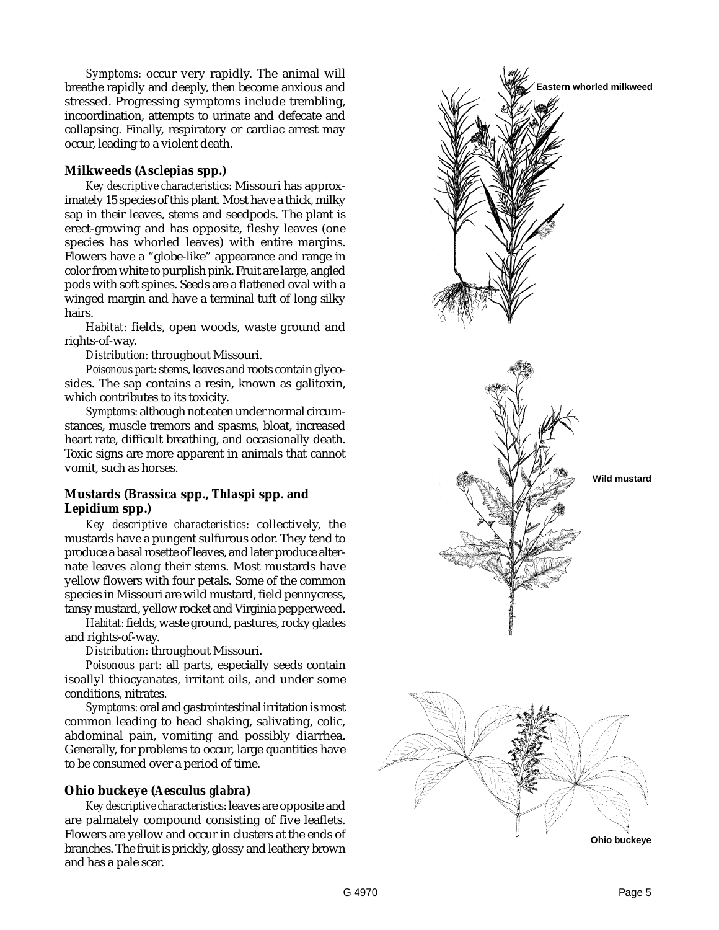*Symptoms:* occur very rapidly. The animal will breathe rapidly and deeply, then become anxious and stressed. Progressing symptoms include trembling, incoordination, attempts to urinate and defecate and collapsing. Finally, respiratory or cardiac arrest may occur, leading to a violent death.

## **Milkweeds** *(Asclepias* **spp.***)*

*Key descriptive characteristics:* Missouri has approximately 15 species of this plant. Most have a thick, milky sap in their leaves, stems and seedpods. The plant is erect-growing and has opposite, fleshy leaves (one species has whorled leaves) with entire margins. Flowers have a "globe-like" appearance and range in color from white to purplish pink. Fruit are large, angled pods with soft spines. Seeds are a flattened oval with a winged margin and have a terminal tuft of long silky hairs.

*Habitat:* fields, open woods, waste ground and rights-of-way.

*Distribution:* throughout Missouri.

*Poisonous part:* stems, leaves and roots contain glycosides. The sap contains a resin, known as galitoxin, which contributes to its toxicity.

*Symptoms:* although not eaten under normal circumstances, muscle tremors and spasms, bloat, increased heart rate, difficult breathing, and occasionally death. Toxic signs are more apparent in animals that cannot vomit, such as horses.

## **Mustards** *(Brassica* **spp.,** *Thlaspi* **spp. and** *Lepidium* **spp.***)*

*Key descriptive characteristics:* collectively, the mustards have a pungent sulfurous odor. They tend to produce a basal rosette of leaves, and later produce alternate leaves along their stems. Most mustards have yellow flowers with four petals. Some of the common species in Missouri are wild mustard, field pennycress, tansy mustard, yellow rocket and Virginia pepperweed.

*Habitat:* fields, waste ground, pastures, rocky glades and rights-of-way.

*Distribution:* throughout Missouri.

*Poisonous part:* all parts, especially seeds contain isoallyl thiocyanates, irritant oils, and under some conditions, nitrates.

*Symptoms:* oral and gastrointestinal irritation is most common leading to head shaking, salivating, colic, abdominal pain, vomiting and possibly diarrhea. Generally, for problems to occur, large quantities have to be consumed over a period of time.

## **Ohio buckeye** *(Aesculus glabra)*

*Key descriptive characteristics:* leaves are opposite and are palmately compound consisting of five leaflets. Flowers are yellow and occur in clusters at the ends of branches. The fruit is prickly, glossy and leathery brown and has a pale scar.

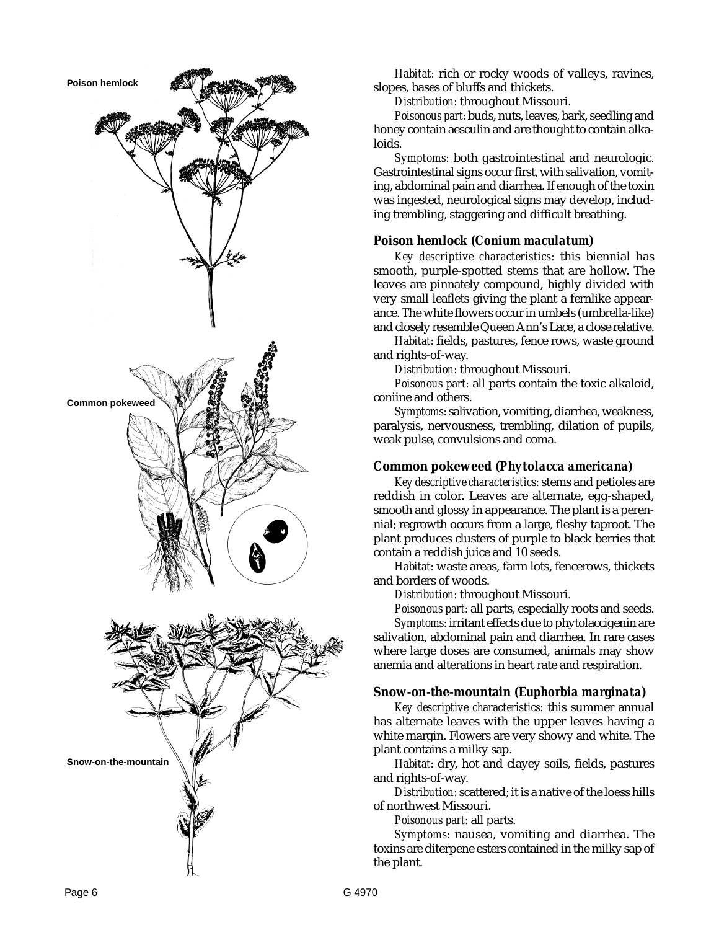

*Habitat:* rich or rocky woods of valleys, ravines, slopes, bases of bluffs and thickets.

*Distribution:* throughout Missouri.

*Poisonous part:* buds, nuts, leaves, bark, seedling and honey contain aesculin and are thought to contain alkaloids.

*Symptoms:* both gastrointestinal and neurologic. Gastrointestinal signs occur first, with salivation, vomiting, abdominal pain and diarrhea. If enough of the toxin was ingested, neurological signs may develop, including trembling, staggering and difficult breathing.

## **Poison hemlock** *(Conium maculatum)*

*Key descriptive characteristics:* this biennial has smooth, purple-spotted stems that are hollow. The leaves are pinnately compound, highly divided with very small leaflets giving the plant a fernlike appearance. The white flowers occur in umbels (umbrella-like) and closely resemble Queen Ann's Lace, a close relative.

*Habitat:* fields, pastures, fence rows, waste ground and rights-of-way.

*Distribution:* throughout Missouri.

*Poisonous part:* all parts contain the toxic alkaloid, coniine and others.

*Symptoms:* salivation, vomiting, diarrhea, weakness, paralysis, nervousness, trembling, dilation of pupils, weak pulse, convulsions and coma.

## **Common pokeweed** *(Phytolacca americana)*

*Key descriptive characteristics:* stems and petioles are reddish in color. Leaves are alternate, egg-shaped, smooth and glossy in appearance. The plant is a perennial; regrowth occurs from a large, fleshy taproot. The plant produces clusters of purple to black berries that contain a reddish juice and 10 seeds.

*Habitat:* waste areas, farm lots, fencerows, thickets and borders of woods.

*Distribution:* throughout Missouri.

*Poisonous part:* all parts, especially roots and seeds.

*Symptoms:* irritant effects due to phytolaccigenin are salivation, abdominal pain and diarrhea. In rare cases where large doses are consumed, animals may show anemia and alterations in heart rate and respiration.

## **Snow-on-the-mountain** *(Euphorbia marginata)*

*Key descriptive characteristics:* this summer annual has alternate leaves with the upper leaves having a white margin. Flowers are very showy and white. The plant contains a milky sap.

*Habitat:* dry, hot and clayey soils, fields, pastures and rights-of-way.

*Distribution:* scattered; it is a native of the loess hills of northwest Missouri.

*Poisonous part:* all parts.

*Symptoms:* nausea, vomiting and diarrhea. The toxins are diterpene esters contained in the milky sap of the plant.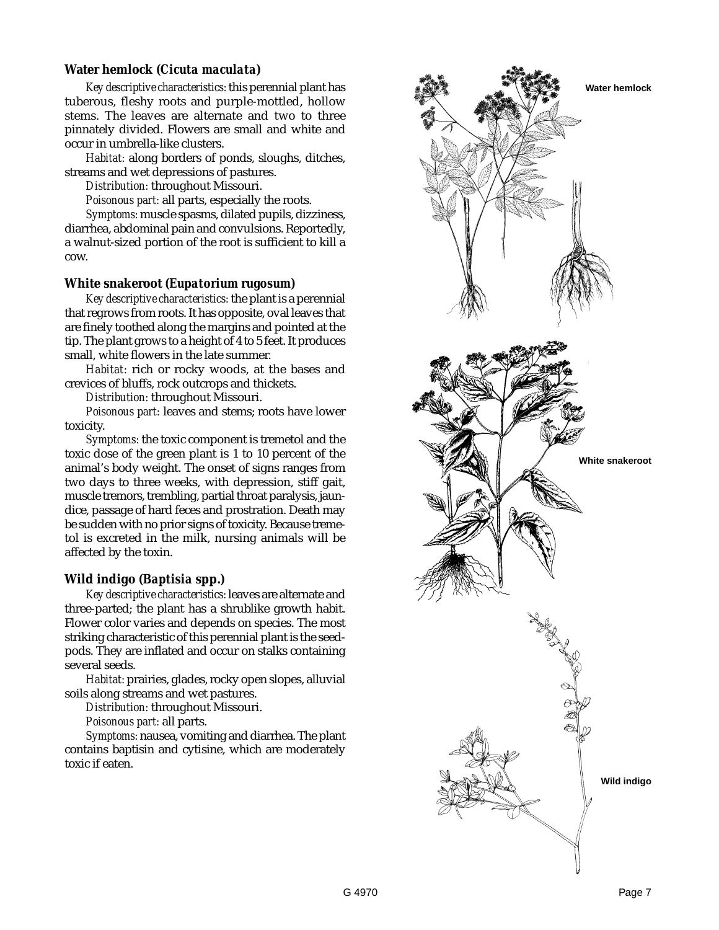## **Water hemlock** *(Cicuta maculata)*

*Key descriptive characteristics:* this perennial plant has tuberous, fleshy roots and purple-mottled, hollow stems. The leaves are alternate and two to three pinnately divided. Flowers are small and white and occur in umbrella-like clusters.

*Habitat:* along borders of ponds, sloughs, ditches, streams and wet depressions of pastures.

*Distribution:* throughout Missouri.

*Poisonous part:* all parts, especially the roots.

*Symptoms:* muscle spasms, dilated pupils, dizziness, diarrhea, abdominal pain and convulsions. Reportedly, a walnut-sized portion of the root is sufficient to kill a cow.

#### **White snakeroot** *(Eupatorium rugosum)*

*Key descriptive characteristics:* the plant is a perennial that regrows from roots. It has opposite, oval leaves that are finely toothed along the margins and pointed at the tip. The plant grows to a height of 4 to 5 feet. It produces small, white flowers in the late summer.

*Habitat:* rich or rocky woods, at the bases and crevices of bluffs, rock outcrops and thickets.

*Distribution:* throughout Missouri.

*Poisonous part:* leaves and stems; roots have lower toxicity.

*Symptoms:* the toxic component is tremetol and the toxic dose of the green plant is 1 to 10 percent of the animal's body weight. The onset of signs ranges from two days to three weeks, with depression, stiff gait, muscle tremors, trembling, partial throat paralysis, jaundice, passage of hard feces and prostration. Death may be sudden with no prior signs of toxicity. Because tremetol is excreted in the milk, nursing animals will be affected by the toxin.

## **Wild indigo** *(Baptisia* **spp.***)*

*Key descriptive characteristics:* leaves are alternate and three-parted; the plant has a shrublike growth habit. Flower color varies and depends on species. The most striking characteristic of this perennial plant is the seedpods. They are inflated and occur on stalks containing several seeds.

*Habitat:* prairies, glades, rocky open slopes, alluvial soils along streams and wet pastures.

*Distribution:* throughout Missouri.

*Poisonous part:* all parts.

*Symptoms:* nausea, vomiting and diarrhea. The plant contains baptisin and cytisine, which are moderately toxic if eaten.